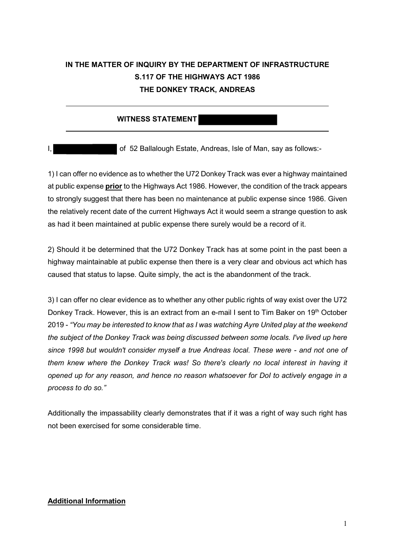## **IN THE MATTER OF INQUIRY BY THE DEPARTMENT OF INFRASTRUCTURE S.117 OF THE HIGHWAYS ACT 1986 THE DONKEY TRACK, ANDREAS**

## **WITNESS STATEMENT**

 $\overline{a}$ 

I, **of 52 Ballalough Estate, Andreas, Isle of Man, say as follows:-**

1) I can offer no evidence as to whether the U72 Donkey Track was ever a highway maintained at public expense **prior** to the Highways Act 1986. However, the condition of the track appears to strongly suggest that there has been no maintenance at public expense since 1986. Given the relatively recent date of the current Highways Act it would seem a strange question to ask as had it been maintained at public expense there surely would be a record of it.

2) Should it be determined that the U72 Donkey Track has at some point in the past been a highway maintainable at public expense then there is a very clear and obvious act which has caused that status to lapse. Quite simply, the act is the abandonment of the track.

3) I can offer no clear evidence as to whether any other public rights of way exist over the U72 Donkey Track. However, this is an extract from an e-mail I sent to Tim Baker on 19<sup>th</sup> October 2019 - *"You may be interested to know that as I was watching Ayre United play at the weekend the subject of the Donkey Track was being discussed between some locals. I've lived up here since 1998 but wouldn't consider myself a true Andreas local. These were - and not one of them knew where the Donkey Track was! So there's clearly no local interest in having it opened up for any reason, and hence no reason whatsoever for DoI to actively engage in a process to do so."*

Additionally the impassability clearly demonstrates that if it was a right of way such right has not been exercised for some considerable time.

## **Additional Information**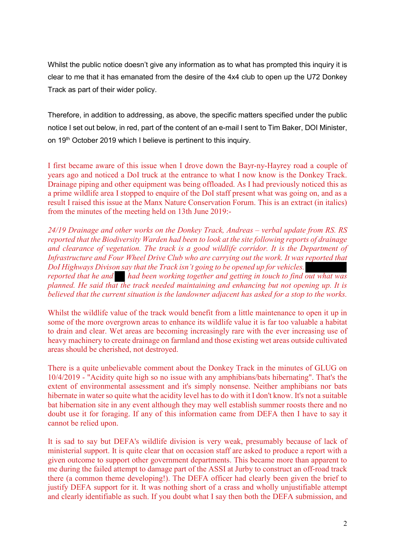Whilst the public notice doesn't give any information as to what has prompted this inquiry it is clear to me that it has emanated from the desire of the 4x4 club to open up the U72 Donkey Track as part of their wider policy.

Therefore, in addition to addressing, as above, the specific matters specified under the public notice I set out below, in red, part of the content of an e-mail I sent to Tim Baker, DOI Minister, on 19<sup>th</sup> October 2019 which I believe is pertinent to this inquiry.

I first became aware of this issue when I drove down the Bayr-ny-Hayrey road a couple of years ago and noticed a DoI truck at the entrance to what I now know is the Donkey Track. Drainage piping and other equipment was being offloaded. As I had previously noticed this as a prime wildlife area I stopped to enquire of the DoI staff present what was going on, and as a result I raised this issue at the Manx Nature Conservation Forum. This is an extract (in italics) from the minutes of the meeting held on 13th June 2019:-

*24/19 Drainage and other works on the Donkey Track, Andreas – verbal update from RS. RS reported that the Biodiversity Warden had been to look at the site following reports of drainage and clearance of vegetation. The track is a good wildlife corridor. It is the Department of Infrastructure and Four Wheel Drive Club who are carrying out the work. It was reported that DoI Highways Divison say that the Track isn't going to be opened up for vehicles. reported that he and had been working together and getting in touch to find out what was planned. He said that the track needed maintaining and enhancing but not opening up. It is believed that the current situation is the landowner adjacent has asked for a stop to the works.*

Whilst the wildlife value of the track would benefit from a little maintenance to open it up in some of the more overgrown areas to enhance its wildlife value it is far too valuable a habitat to drain and clear. Wet areas are becoming increasingly rare with the ever increasing use of heavy machinery to create drainage on farmland and those existing wet areas outside cultivated areas should be cherished, not destroyed.

There is a quite unbelievable comment about the Donkey Track in the minutes of GLUG on 10/4/2019 - "Acidity quite high so no issue with any amphibians/bats hibernating". That's the extent of environmental assessment and it's simply nonsense. Neither amphibians nor bats hibernate in water so quite what the acidity level has to do with it I don't know. It's not a suitable bat hibernation site in any event although they may well establish summer roosts there and no doubt use it for foraging. If any of this information came from DEFA then I have to say it cannot be relied upon.

It is sad to say but DEFA's wildlife division is very weak, presumably because of lack of ministerial support. It is quite clear that on occasion staff are asked to produce a report with a given outcome to support other government departments. This became more than apparent to me during the failed attempt to damage part of the ASSI at Jurby to construct an off-road track there (a common theme developing!). The DEFA officer had clearly been given the brief to justify DEFA support for it. It was nothing short of a crass and wholly unjustifiable attempt and clearly identifiable as such. If you doubt what I say then both the DEFA submission, and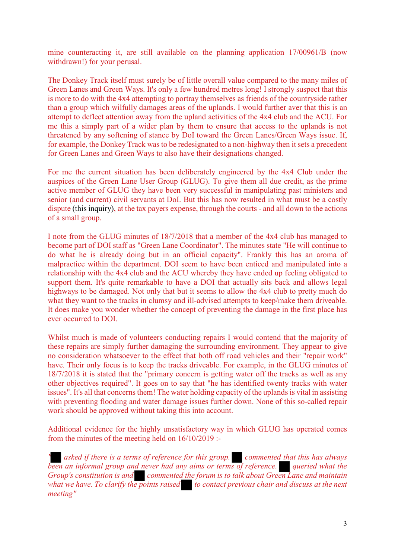mine counteracting it, are still available on the planning application 17/00961/B (now withdrawn!) for your perusal.

The Donkey Track itself must surely be of little overall value compared to the many miles of Green Lanes and Green Ways. It's only a few hundred metres long! I strongly suspect that this is more to do with the 4x4 attempting to portray themselves as friends of the countryside rather than a group which wilfully damages areas of the uplands. I would further aver that this is an attempt to deflect attention away from the upland activities of the 4x4 club and the ACU. For me this a simply part of a wider plan by them to ensure that access to the uplands is not threatened by any softening of stance by DoI toward the Green Lanes/Green Ways issue. If, for example, the Donkey Track was to be redesignated to a non-highway then it sets a precedent for Green Lanes and Green Ways to also have their designations changed.

For me the current situation has been deliberately engineered by the 4x4 Club under the auspices of the Green Lane User Group (GLUG). To give them all due credit, as the prime active member of GLUG they have been very successful in manipulating past ministers and senior (and current) civil servants at DoI. But this has now resulted in what must be a costly dispute (this inquiry), at the tax payers expense, through the courts - and all down to the actions of a small group.

I note from the GLUG minutes of 18/7/2018 that a member of the 4x4 club has managed to become part of DOI staff as "Green Lane Coordinator". The minutes state "He will continue to do what he is already doing but in an official capacity". Frankly this has an aroma of malpractice within the department. DOI seem to have been enticed and manipulated into a relationship with the 4x4 club and the ACU whereby they have ended up feeling obligated to support them. It's quite remarkable to have a DOI that actually sits back and allows legal highways to be damaged. Not only that but it seems to allow the 4x4 club to pretty much do what they want to the tracks in clumsy and ill-advised attempts to keep/make them driveable. It does make you wonder whether the concept of preventing the damage in the first place has ever occurred to DOI.

Whilst much is made of volunteers conducting repairs I would contend that the majority of these repairs are simply further damaging the surrounding environment. They appear to give no consideration whatsoever to the effect that both off road vehicles and their "repair work" have. Their only focus is to keep the tracks driveable. For example, in the GLUG minutes of 18/7/2018 it is stated that the "primary concern is getting water off the tracks as well as any other objectives required". It goes on to say that "he has identified twenty tracks with water issues". It's all that concerns them! The water holding capacity of the uplands is vital in assisting with preventing flooding and water damage issues further down. None of this so-called repair work should be approved without taking this into account.

Additional evidence for the highly unsatisfactory way in which GLUG has operated comes from the minutes of the meeting held on 16/10/2019 :-

*" asked if there is a terms of reference for this group. commented that this has always been an informal group and never had any aims or terms of reference. queried what the Group's constitution is and commented the forum is to talk about Green Lane and maintain what we have. To clarify the points raised* to *contact previous chair and discuss at the next meeting"*